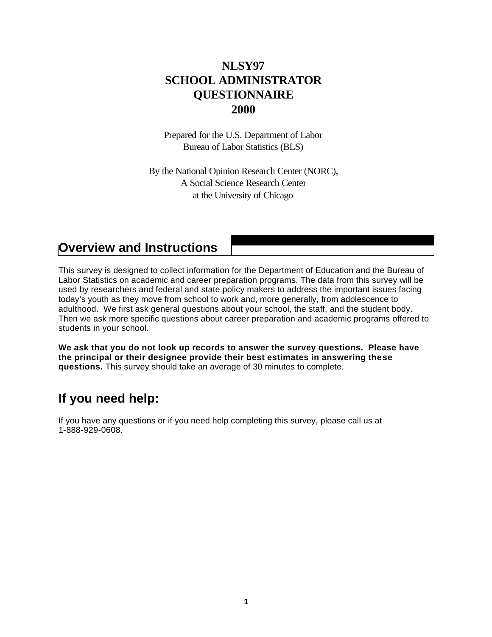# **NLSY97 SCHOOL ADMINISTRATOR QUESTIONNAIRE 2000**

Prepared for the U.S. Department of Labor Bureau of Labor Statistics (BLS)

By the National Opinion Research Center (NORC), A Social Science Research Center at the University of Chicago

# **Overview and Instructions**

This survey is designed to collect information for the Department of Education and the Bureau of Labor Statistics on academic and career preparation programs. The data from this survey will be used by researchers and federal and state policy makers to address the important issues facing today's youth as they move from school to work and, more generally, from adolescence to adulthood. We first ask general questions about your school, the staff, and the student body. Then we ask more specific questions about career preparation and academic programs offered to students in your school.

**We ask that you do not look up records to answer the survey questions. Please have the principal or their designee provide their best estimates in answering these questions.** This survey should take an average of 30 minutes to complete.

# **If you need help:**

If you have any questions or if you need help completing this survey, please call us at 1-888-929-0608.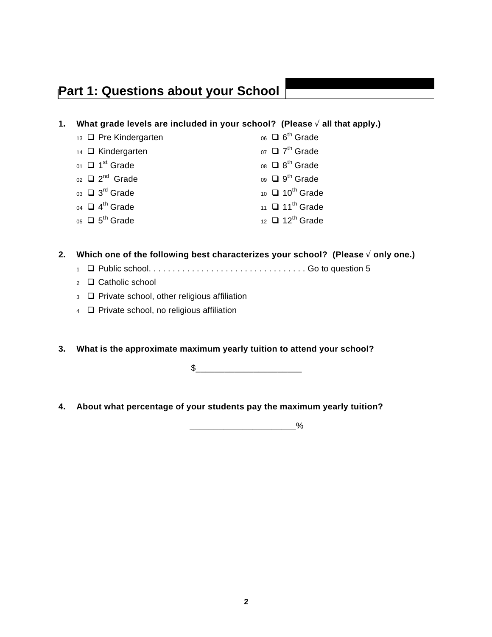# **Part 1: Questions about your School**

- **1. What grade levels are included in your school? (Please Ö all that apply.)**
	- $13$  **Q** Pre Kindergarten  $06 \square 6$ <sup>th</sup> Grade  $14$  **Q** Kindergarten  $07 \square 7<sup>th</sup>$  Grade  $_{01}$   $\Box$  1<sup>st</sup> Grade  $_{08}$   $\Box$  8  $08 \square 8^{th}$  Grade  $_{02}$   $\square$   $2^{\text{nd}}$  Grade  $_{09}$   $\square$  9  $09 \square 9$ <sup>th</sup> Grade  $_{03}$   $\square$  3<sup>rd</sup> Grade  $_{10}$   $\Box$  10<sup>th</sup> Grade  $_{04}$   $\Box$  4<sup>th</sup> Grade 11  $\Box$  11<sup>th</sup> Grade
	- $_{05}$   $\square$  5<sup>th</sup> Grade

 $12$   $\Box$  12<sup>th</sup> Grade

**2. Which one of the following best characterizes your school? (Please Ö only one.)**

- <sup>1</sup> q Public school. . . . . . . . . . . . . . . . . . . . . . . . . . . . . . . . . Go to question 5
- $2 \square$  Catholic school
- $3\Box$  Private school, other religious affiliation
- 4 **Q** Private school, no religious affiliation
- **3. What is the approximate maximum yearly tuition to attend your school?**

\$\_\_\_\_\_\_\_\_\_\_\_\_\_\_\_\_\_\_\_\_\_\_

**4. About what percentage of your students pay the maximum yearly tuition?**

 $\sim$   $\frac{9}{6}$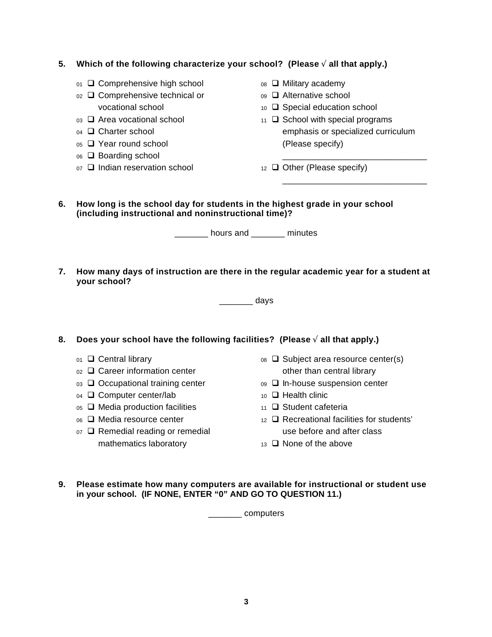## **5. Which of the following characterize your school? (Please Ö all that apply.)**

- $_{01}$   $\Box$  Comprehensive high school  $_{08}$   $\Box$  Military academy
- 02 **Q** Comprehensive technical or 09 Q Alternative school
- 
- 
- $_{05}$   $\square$  Year round school (Please specify)
- $_{06}$   $\square$  Boarding school
- $_{07}$   $\Box$  Indian reservation school  $_{12}$   $\Box$  Other (Please specify)
- 
- 
- vocational school  $10 \text{ } \square$  Special education school
- $03 \Box$  Area vocational school  $11 \Box$  School with special programs 04 Charter school emphasis or specialized curriculum

\_\_\_\_\_\_\_\_\_\_\_\_\_\_\_\_\_\_\_\_\_\_\_\_\_\_\_\_\_\_

- 
- **6. How long is the school day for students in the highest grade in your school (including instructional and noninstructional time)?**

hours and **minutes** 

**7. How many days of instruction are there in the regular academic year for a student at your school?**

\_\_\_\_\_\_\_ days

### **8. Does your school have the following facilities? (Please Ö all that apply.)**

- 
- 
- $03 \Box$  Occupational training center  $09 \Box$  In-house suspension center
- $_{04}$   $\Box$  Computer center/lab  $_{10}$   $\Box$  Health clinic
- $_{05}$   $\Box$  Media production facilities 11  $\Box$  Student cafeteria
- 
- $\sigma$   $\Box$  Remedial reading or remedial use before and after class mathematics laboratory  $13 \Box$  None of the above
- $_{01}$   $\Box$  Central library  $_{08}$   $\Box$  Subject area resource center(s)  $_{02}$   $\square$  Career information center  $\qquad \qquad$  other than central library
	-
	-
	-
- $0.06$   $\Box$  Media resource center 12  $\Box$  Recreational facilities for students'
	-
- **9. Please estimate how many computers are available for instructional or student use in your school. (IF NONE, ENTER "0" AND GO TO QUESTION 11.)**

\_\_\_\_\_\_\_ computers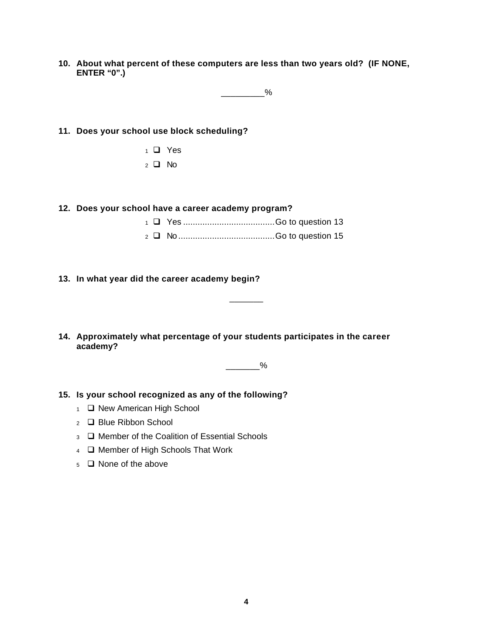**10. About what percent of these computers are less than two years old? (IF NONE, ENTER "0".)**

 $\sim$   $\sim$   $\sim$ 

#### **11. Does your school use block scheduling?**

 $1$   $\Box$  Yes  $2$   $\Box$  No

#### **12. Does your school have a career academy program?**

\_\_\_\_\_\_\_

### **13. In what year did the career academy begin?**

**14. Approximately what percentage of your students participates in the career academy?**

 $\sim$  %

## **15. Is your school recognized as any of the following?**

- 1 **Q** New American High School
- 2 □ Blue Ribbon School
- 3 **Q** Member of the Coalition of Essential Schools
- 4 **Q** Member of High Schools That Work
- $5\Box$  None of the above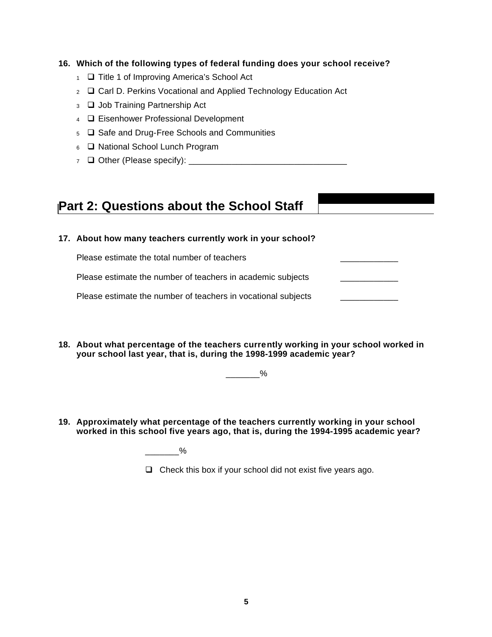### **16. Which of the following types of federal funding does your school receive?**

- $1 \square$  Title 1 of Improving America's School Act
- $2 \Box$  Carl D. Perkins Vocational and Applied Technology Education Act
- 3 **Q** Job Training Partnership Act
- 4 **Q** Eisenhower Professional Development
- $5\Box$  Safe and Drug-Free Schools and Communities
- 6 **Q** National School Lunch Program
- $7 \Box$  Other (Please specify):

# **Part 2: Questions about the School Staff**

### **17. About how many teachers currently work in your school?**

Please estimate the total number of teachers

Please estimate the number of teachers in academic subjects

Please estimate the number of teachers in vocational subjects

**18. About what percentage of the teachers currently working in your school worked in your school last year, that is, during the 1998-1999 academic year?**

 $\frac{9}{6}$ 

**19. Approximately what percentage of the teachers currently working in your school worked in this school five years ago, that is, during the 1994-1995 academic year?**

 $\%$ 

 $\Box$  Check this box if your school did not exist five years ago.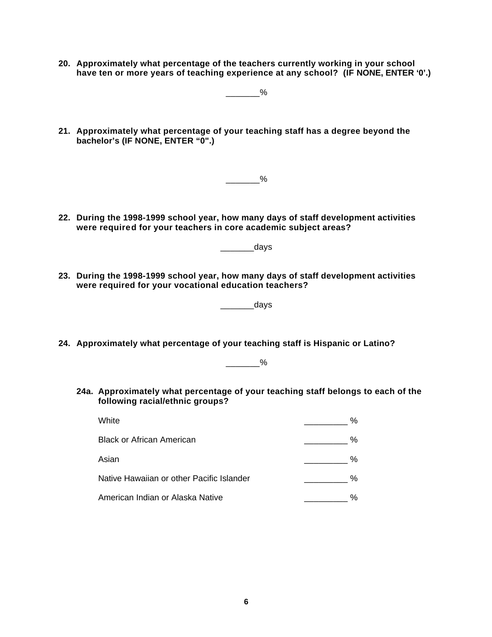**20. Approximately what percentage of the teachers currently working in your school have ten or more years of teaching experience at any school? (IF NONE, ENTER '0'.)**

 $\frac{9}{6}$ 

 $-$  %

**21. Approximately what percentage of your teaching staff has a degree beyond the bachelor's (IF NONE, ENTER "0".)**

**22. During the 1998-1999 school year, how many days of staff development activities were required for your teachers in core academic subject areas?**

\_\_\_\_\_\_\_\_\_\_days

**23. During the 1998-1999 school year, how many days of staff development activities were required for your vocational education teachers?**

\_\_\_\_\_\_\_days

**24. Approximately what percentage of your teaching staff is Hispanic or Latino?**

 $\sim$  %

**24a. Approximately what percentage of your teaching staff belongs to each of the following racial/ethnic groups?**

| White                                     | % |
|-------------------------------------------|---|
| Black or African American                 | % |
| Asian                                     | % |
| Native Hawaiian or other Pacific Islander | % |
| American Indian or Alaska Native          | % |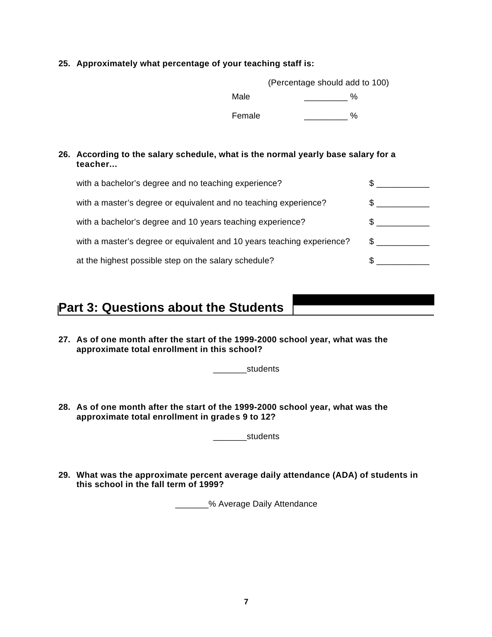### **25. Approximately what percentage of your teaching staff is:**

|        | (Percentage should add to 100) |
|--------|--------------------------------|
| Male   | %                              |
| Female | %                              |

### **26. According to the salary schedule, what is the normal yearly base salary for a teacher…**

| with a bachelor's degree and no teaching experience?                   |   |
|------------------------------------------------------------------------|---|
| with a master's degree or equivalent and no teaching experience?       |   |
| with a bachelor's degree and 10 years teaching experience?             |   |
| with a master's degree or equivalent and 10 years teaching experience? | S |
| at the highest possible step on the salary schedule?                   |   |

# **Part 3: Questions about the Students**

**27. As of one month after the start of the 1999-2000 school year, what was the approximate total enrollment in this school?**

\_\_\_\_\_\_\_students

**28. As of one month after the start of the 1999-2000 school year, what was the approximate total enrollment in grades 9 to 12?**

\_\_\_\_\_\_\_students

**29. What was the approximate percent average daily attendance (ADA) of students in this school in the fall term of 1999?**

**\_\_\_\_\_\_\_%** Average Daily Attendance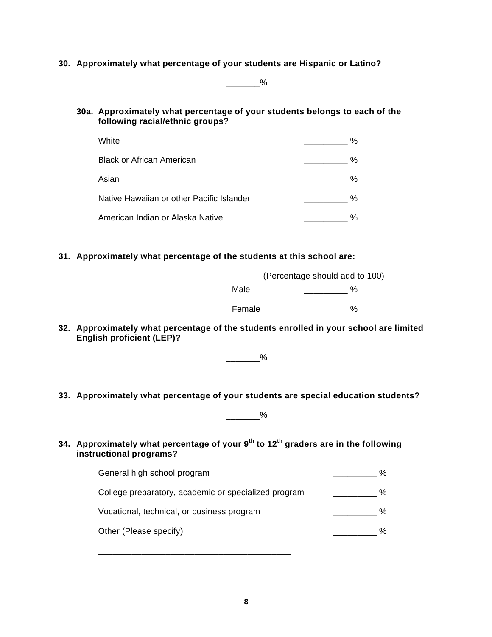### **30. Approximately what percentage of your students are Hispanic or Latino?**

 $\overline{\phantom{a}8}$ 

**30a. Approximately what percentage of your students belongs to each of the following racial/ethnic groups?**

| White                                     | ℅    |
|-------------------------------------------|------|
| Black or African American                 | $\%$ |
| Asian                                     | ℅    |
| Native Hawaiian or other Pacific Islander | %    |
| American Indian or Alaska Native          | %    |

### **31. Approximately what percentage of the students at this school are:**

|        | (Percentage should add to 100) |
|--------|--------------------------------|
| Male   | %                              |
| Female | $\frac{0}{6}$                  |

**32. Approximately what percentage of the students enrolled in your school are limited English proficient (LEP)?**

 $\frac{9}{6}$ 

**33. Approximately what percentage of your students are special education students?**

 $-$  %

**34. Approximately what percentage of your 9th to 12th graders are in the following instructional programs?**

\_\_\_\_\_\_\_\_\_\_\_\_\_\_\_\_\_\_\_\_\_\_\_\_\_\_\_\_\_\_\_\_\_\_\_\_\_\_\_\_

| General high school program                          | % |
|------------------------------------------------------|---|
| College preparatory, academic or specialized program | ℅ |
| Vocational, technical, or business program           | ℅ |
| Other (Please specify)                               | % |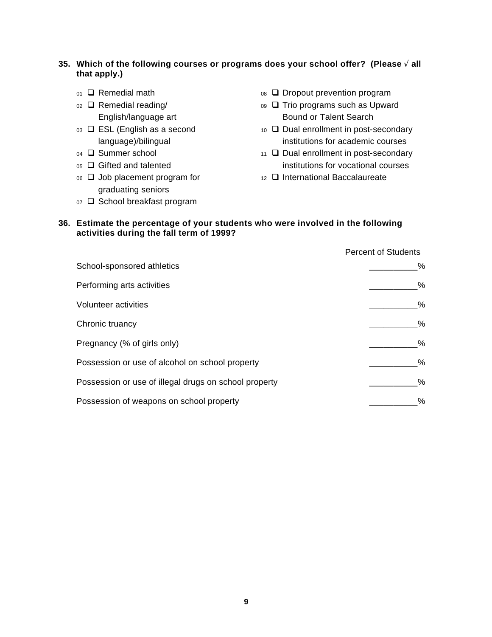## **35. Which of the following courses or programs does your school offer? (Please Ö all that apply.)**

- 
- 
- 
- 
- 
- graduating seniors
- 07 **□ School breakfast program**
- 01 **Q** Remedial math 08 Q Dropout prevention program
- $02 \Box$  Remedial reading/  $09 \Box$  Trio programs such as Upward English/language art Bound or Talent Search
- $03 \square$  ESL (English as a second  $10 \square$  Dual enrollment in post-secondary language)/bilingual institutions for academic courses
- $_{04}$   $\square$  Summer school  $_{11}$   $\square$  Dual enrollment in post-secondary  $\overline{0}$  Gifted and talented institutions for vocational courses
- $_{06}$   $\Box$  Job placement program for  $_{12}$   $\Box$  International Baccalaureate

### **36. Estimate the percentage of your students who were involved in the following activities during the fall term of 1999?**

|                                                       | <b>Percent of Students</b> |
|-------------------------------------------------------|----------------------------|
| School-sponsored athletics                            | %                          |
| Performing arts activities                            | %                          |
| Volunteer activities                                  | %                          |
| Chronic truancy                                       | %                          |
| Pregnancy (% of girls only)                           | %                          |
| Possession or use of alcohol on school property       | %                          |
| Possession or use of illegal drugs on school property | %                          |
| Possession of weapons on school property              | %                          |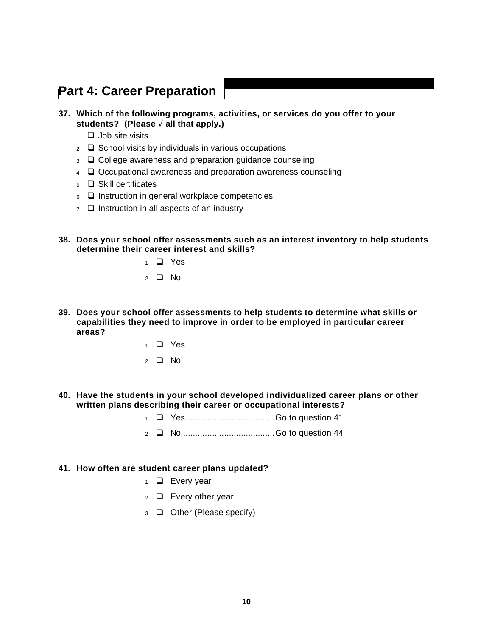# **Part 4: Career Preparation**

- **37. Which of the following programs, activities, or services do you offer to your students? (Please Ö all that apply.)**
	- $1 \square$  Job site visits
	- $2 \Box$  School visits by individuals in various occupations
	- $_3$   $\Box$  College awareness and preparation guidance counseling
	- $4\Box$  Occupational awareness and preparation awareness counseling
	- $5\Box$  Skill certificates
	- $6\Box$  Instruction in general workplace competencies
	- $7\Box$  Instruction in all aspects of an industry
- **38. Does your school offer assessments such as an interest inventory to help students determine their career interest and skills?**
	- $1$   $\Box$  Yes
	- $2 \Box$  No
- **39. Does your school offer assessments to help students to determine what skills or capabilities they need to improve in order to be employed in particular career areas?**
	- $1$  **Q** Yes  $2 \Box$  No
- **40. Have the students in your school developed individualized career plans or other written plans describing their career or occupational interests?**
	- <sup>1</sup> q Yes.....................................Go to question 41
	- <sup>2</sup> q No.......................................Go to question 44

#### **41. How often are student career plans updated?**

- $1 \square$  Every year
- $2 \Box$  Every other year
- $\overline{3}$   $\Box$  Other (Please specify)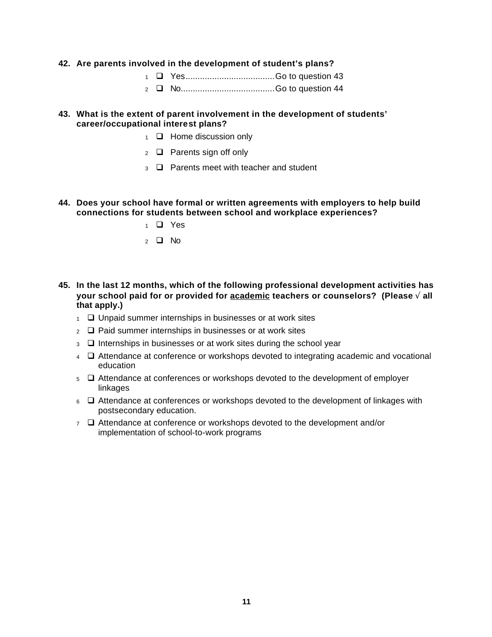#### **42. Are parents involved in the development of student's plans?**

| $\Box$ |  |
|--------|--|

- <sup>2</sup> q No.......................................Go to question 44
- **43. What is the extent of parent involvement in the development of students' career/occupational interest plans?**
	- $1 \Box$  Home discussion only
	- $2 \Box$  Parents sign off only
	- $\overline{3}$   $\Box$  Parents meet with teacher and student
- **44. Does your school have formal or written agreements with employers to help build connections for students between school and workplace experiences?**
	- $1$   $\Box$  Yes  $2 \Box$  No
- **45. In the last 12 months, which of the following professional development activities has your school paid for or provided for academic teachers or counselors? (Please Ö all that apply.)**
	- $1 \square$  Unpaid summer internships in businesses or at work sites
	- $_2$   $\Box$  Paid summer internships in businesses or at work sites
	- $_3$   $\Box$  Internships in businesses or at work sites during the school year
	- 4 **Q** Attendance at conference or workshops devoted to integrating academic and vocational education
	- $5\Box$  Attendance at conferences or workshops devoted to the development of employer linkages
	- $6\Box$  Attendance at conferences or workshops devoted to the development of linkages with postsecondary education.
	- $7 \square$  Attendance at conference or workshops devoted to the development and/or implementation of school-to-work programs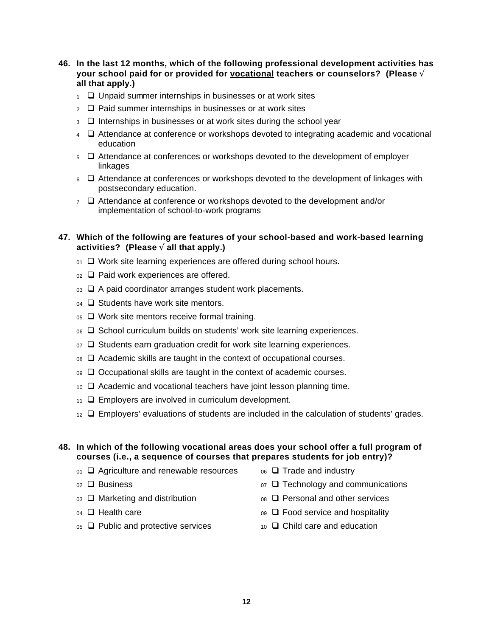**46. In the last 12 months, which of the following professional development activities has your school paid for or provided for vocational teachers or counselors? (Please Ö all that apply.)**

- $1 \square$  Unpaid summer internships in businesses or at work sites
- $2 \Box$  Paid summer internships in businesses or at work sites
- $_3$   $\Box$  Internships in businesses or at work sites during the school year
- $4\Box$  Attendance at conference or workshops devoted to integrating academic and vocational education
- $5\Box$  Attendance at conferences or workshops devoted to the development of employer linkages
- $6\Box$  Attendance at conferences or workshops devoted to the development of linkages with postsecondary education.
- $7 \square$  Attendance at conference or workshops devoted to the development and/or implementation of school-to-work programs

### **47. Which of the following are features of your school-based and work-based learning activities? (Please Ö all that apply.)**

- $_{01}$   $\Box$  Work site learning experiences are offered during school hours.
- $_{02}$   $\square$  Paid work experiences are offered.
- $_{03}$   $\square$  A paid coordinator arranges student work placements.
- $_{04}$   $\square$  Students have work site mentors.
- $_{05}$   $\square$  Work site mentors receive formal training.
- $_{06}$   $\square$  School curriculum builds on students' work site learning experiences.
- $07$   $\Box$  Students earn graduation credit for work site learning experiences.
- $08 \Box$  Academic skills are taught in the context of occupational courses.
- $_{09}$   $\Box$  Occupational skills are taught in the context of academic courses.
- $10\Box$  Academic and vocational teachers have joint lesson planning time.
- $11$   $\Box$  Employers are involved in curriculum development.
- $12$   $\Box$  Employers' evaluations of students are included in the calculation of students' grades.

### **48. In which of the following vocational areas does your school offer a full program of courses (i.e., a sequence of courses that prepares students for job entry)?**

- $_{01}$  Q Agriculture and renewable resources  $_{06}$  Q Trade and industry
- 
- 
- 
- $0.6 \square$  Public and protective services 10  $\square$  Child care and education
- 
- $_{02}$  Q Business  $_{07}$  Q Technology and communications
- $03 \square$  Marketing and distribution  $08 \square$  Personal and other services
- $_{04}$   $\Box$  Health care  $_{09}$   $\Box$  Food service and hospitality
	-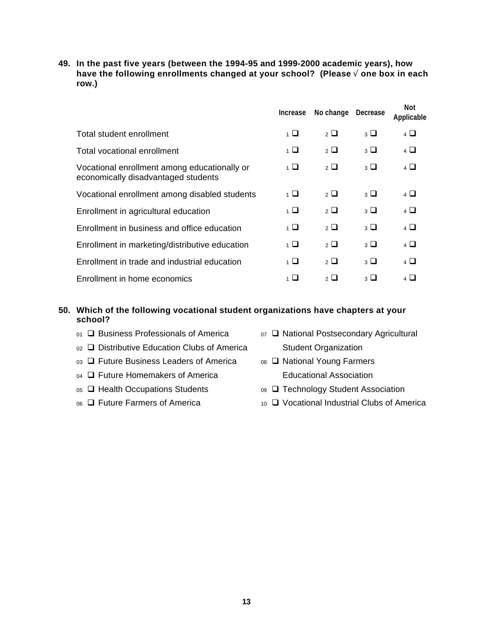**49. In the past five years (between the 1994-95 and 1999-2000 academic years), how have the following enrollments changed at your school? (Please Ö one box in each row.)**

|                                                                                     | <b>Increase</b> | No change                | Decrease              | Not<br>Applicable     |
|-------------------------------------------------------------------------------------|-----------------|--------------------------|-----------------------|-----------------------|
| Total student enrollment                                                            | 1 □             | $\overline{\phantom{0}}$ | $_3$ $\Box$           | $\overline{4}$ $\Box$ |
| Total vocational enrollment                                                         | 1 □             | $2\Box$                  | $_3$ $\Box$           | $\overline{4}$ $\Box$ |
| Vocational enrollment among educationally or<br>economically disadvantaged students | $\overline{1}$  | $2\Box$                  | $_3$ $\Box$           | $\overline{4}$        |
| Vocational enrollment among disabled students                                       | $\overline{1}$  | $2\Box$                  | $_3$ $\Box$           | $\overline{4}$ $\Box$ |
| Enrollment in agricultural education                                                | $\overline{1}$  | $2\Box$                  | $_3$ $\Box$           | $\overline{4}$ $\Box$ |
| Enrollment in business and office education                                         | $\overline{1}$  | $\overline{\phantom{0}}$ | $_3$ $\Box$           | $\overline{4}$ $\Box$ |
| Enrollment in marketing/distributive education                                      | 1 □             | $\overline{\phantom{0}}$ | $\overline{3}$ $\Box$ | $\overline{4}$ $\Box$ |
| Enrollment in trade and industrial education                                        | $\overline{1}$  | $2\Box$                  | $_3$ $\Box$           | $\overline{4}$ $\Box$ |
| Enrollment in home economics                                                        | l I             | $\overline{2}$ $\Box$    | $_3$ $\Box$           |                       |

## **50. Which of the following vocational student organizations have chapters at your school?**

- 
- 01 **Q** Business Professionals of America 07 **Q** National Postsecondary Agricultural 02 **□** Distributive Education Clubs of America Student Organization
- 03 **□** Future Business Leaders of America <br>08 □ National Young Farmers
- 04 **Q** Future Homemakers of America Educational Association
- 
- 
- 
- 05 **Q** Health Occupations Students 09 **Q** Technology Student Association
- 06 **Q** Future Farmers of America 10 Q Vocational Industrial Clubs of America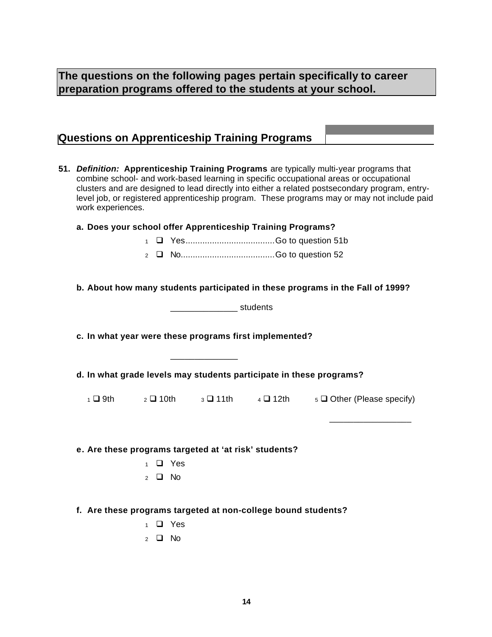**The questions on the following pages pertain specifically to career preparation programs offered to the students at your school.**

|  | 51. Definition: Apprenticeship Training Programs are typically multi-year programs that<br>combine school- and work-based learning in specific occupational areas or occupational<br>clusters and are designed to lead directly into either a related postsecondary program, entry-<br>level job, or registered apprenticeship program. These programs may or may not include paid<br>work experiences. |                                |                              |  |                                                                                                       |  |
|--|---------------------------------------------------------------------------------------------------------------------------------------------------------------------------------------------------------------------------------------------------------------------------------------------------------------------------------------------------------------------------------------------------------|--------------------------------|------------------------------|--|-------------------------------------------------------------------------------------------------------|--|
|  | a. Does your school offer Apprenticeship Training Programs?                                                                                                                                                                                                                                                                                                                                             |                                |                              |  |                                                                                                       |  |
|  |                                                                                                                                                                                                                                                                                                                                                                                                         |                                |                              |  |                                                                                                       |  |
|  |                                                                                                                                                                                                                                                                                                                                                                                                         |                                |                              |  |                                                                                                       |  |
|  |                                                                                                                                                                                                                                                                                                                                                                                                         |                                |                              |  | b. About how many students participated in these programs in the Fall of 1999?                        |  |
|  |                                                                                                                                                                                                                                                                                                                                                                                                         |                                | ___________________ students |  |                                                                                                       |  |
|  | c. In what year were these programs first implemented?                                                                                                                                                                                                                                                                                                                                                  |                                |                              |  |                                                                                                       |  |
|  | d. In what grade levels may students participate in these programs?                                                                                                                                                                                                                                                                                                                                     |                                |                              |  |                                                                                                       |  |
|  |                                                                                                                                                                                                                                                                                                                                                                                                         |                                |                              |  | $1 \square$ 9th $2 \square$ 10th $3 \square$ 11th $4 \square$ 12th $5 \square$ Other (Please specify) |  |
|  | e. Are these programs targeted at 'at risk' students?                                                                                                                                                                                                                                                                                                                                                   | $1 \square$ Yes<br>$2 \Box$ No |                              |  |                                                                                                       |  |
|  | f. Are these programs targeted at non-college bound students?                                                                                                                                                                                                                                                                                                                                           | $1 \square$ Yes<br>$2 \Box$ No |                              |  |                                                                                                       |  |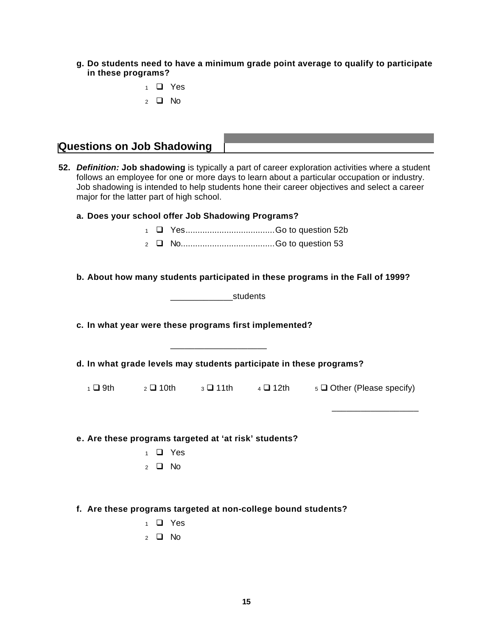- **g. Do students need to have a minimum grade point average to qualify to participate in these programs?**
	- $1$   $\Box$  Yes  $2 \Box$  No

## **Questions on Job Shadowing**

- **52.** *Definition:* **Job shadowing** is typically a part of career exploration activities where a student follows an employee for one or more days to learn about a particular occupation or industry. Job shadowing is intended to help students hone their career objectives and select a career major for the latter part of high school.
	- **a. Does your school offer Job Shadowing Programs?**
		- <sup>1</sup> q Yes.....................................Go to question 52b
		- <sup>2</sup> q No.......................................Go to question 53
	- **b. About how many students participated in these programs in the Fall of 1999?**

**c. In what year were these programs first implemented?**

**d. In what grade levels may students participate in these programs?**

\_\_\_\_\_\_\_\_\_\_\_\_\_\_\_\_\_\_\_\_

 $1 \cup 9$ th  $2 \cup 10$ th  $3 \cup 11$ th  $4 \cup 12$ th  $5 \cup 0$ ther (Please specify)

 $\frac{1}{2}$  ,  $\frac{1}{2}$  ,  $\frac{1}{2}$  ,  $\frac{1}{2}$  ,  $\frac{1}{2}$  ,  $\frac{1}{2}$  ,  $\frac{1}{2}$  ,  $\frac{1}{2}$  ,  $\frac{1}{2}$  ,  $\frac{1}{2}$  ,  $\frac{1}{2}$  ,  $\frac{1}{2}$  ,  $\frac{1}{2}$  ,  $\frac{1}{2}$  ,  $\frac{1}{2}$  ,  $\frac{1}{2}$  ,  $\frac{1}{2}$  ,  $\frac{1}{2}$  ,  $\frac{1$ 

**e. Are these programs targeted at 'at risk' students?**

- $1$   $\Box$  Yes
- $2 \Box$  No
- **f. Are these programs targeted at non-college bound students?**
	- $1$  **Q** Yes
	- $2 \Box$  No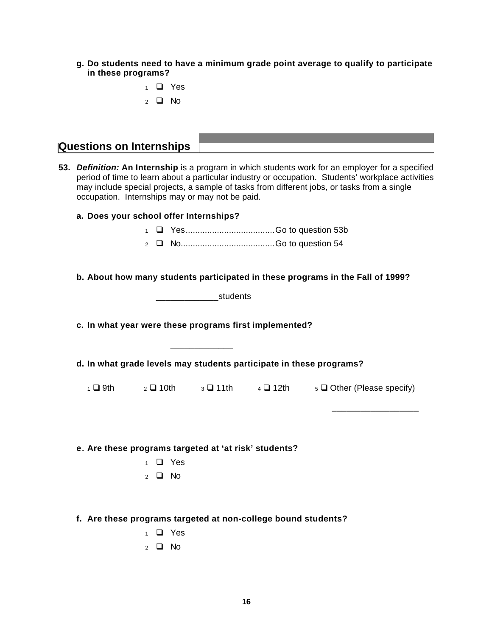- **g. Do students need to have a minimum grade point average to qualify to participate in these programs?**
	- $1 \square$  Yes  $2$   $\Box$  No

| <b>Questions on Internships</b>                                                                                                                                                                                                                                                                                                                          |                         |                            |                                                                            |                                                                                |
|----------------------------------------------------------------------------------------------------------------------------------------------------------------------------------------------------------------------------------------------------------------------------------------------------------------------------------------------------------|-------------------------|----------------------------|----------------------------------------------------------------------------|--------------------------------------------------------------------------------|
| 53. Definition: An Internship is a program in which students work for an employer for a specified<br>period of time to learn about a particular industry or occupation. Students' workplace activities<br>may include special projects, a sample of tasks from different jobs, or tasks from a single<br>occupation. Internships may or may not be paid. |                         |                            |                                                                            |                                                                                |
| a. Does your school offer Internships?                                                                                                                                                                                                                                                                                                                   |                         |                            |                                                                            |                                                                                |
|                                                                                                                                                                                                                                                                                                                                                          |                         |                            |                                                                            |                                                                                |
|                                                                                                                                                                                                                                                                                                                                                          |                         |                            |                                                                            |                                                                                |
|                                                                                                                                                                                                                                                                                                                                                          |                         |                            |                                                                            | b. About how many students participated in these programs in the Fall of 1999? |
|                                                                                                                                                                                                                                                                                                                                                          |                         | <b>Example 13</b> Students |                                                                            |                                                                                |
| c. In what year were these programs first implemented?                                                                                                                                                                                                                                                                                                   |                         |                            |                                                                            |                                                                                |
| d. In what grade levels may students participate in these programs?                                                                                                                                                                                                                                                                                      |                         |                            |                                                                            |                                                                                |
|                                                                                                                                                                                                                                                                                                                                                          |                         |                            | $\frac{1}{2}$ 9th $\frac{2}{2}$ 10th $\frac{3}{2}$ 11th $\frac{4}{2}$ 12th | $5 \square$ Other (Please specify)                                             |
|                                                                                                                                                                                                                                                                                                                                                          |                         |                            |                                                                            |                                                                                |
| e. Are these programs targeted at 'at risk' students?                                                                                                                                                                                                                                                                                                    |                         |                            |                                                                            |                                                                                |
|                                                                                                                                                                                                                                                                                                                                                          | $1 \square$ Yes         |                            |                                                                            |                                                                                |
|                                                                                                                                                                                                                                                                                                                                                          | LI No<br>$\overline{2}$ |                            |                                                                            |                                                                                |
|                                                                                                                                                                                                                                                                                                                                                          |                         |                            |                                                                            |                                                                                |
| f. Are these programs targeted at non-college bound students?                                                                                                                                                                                                                                                                                            |                         |                            |                                                                            |                                                                                |
|                                                                                                                                                                                                                                                                                                                                                          | Yes<br>◻                |                            |                                                                            |                                                                                |
|                                                                                                                                                                                                                                                                                                                                                          | $2 \Box$ No             |                            |                                                                            |                                                                                |
|                                                                                                                                                                                                                                                                                                                                                          |                         |                            |                                                                            |                                                                                |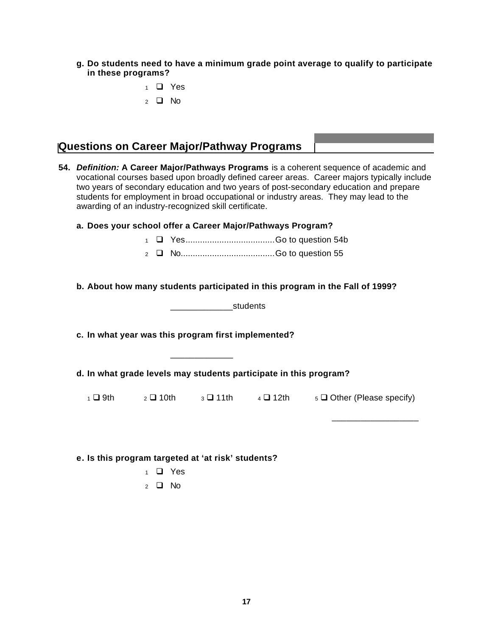- **g. Do students need to have a minimum grade point average to qualify to participate in these programs?**
	- $1$   $\Box$  Yes  $2 \Box$  No

# **Questions on Career Major/Pathway Programs**

**54.** *Definition:* **A Career Major/Pathways Programs** is a coherent sequence of academic and vocational courses based upon broadly defined career areas. Career majors typically include two years of secondary education and two years of post-secondary education and prepare students for employment in broad occupational or industry areas. They may lead to the awarding of an industry-recognized skill certificate. **a. Does your school offer a Career Major/Pathways Program?** <sup>1</sup> q Yes.....................................Go to question 54b <sup>2</sup> q No.......................................Go to question 55 **b. About how many students participated in this program in the Fall of 1999?** \_\_\_\_\_\_\_\_\_\_\_\_\_students **c. In what year was this program first implemented?** \_\_\_\_\_\_\_\_\_\_\_\_\_ **d. In what grade levels may students participate in this program?**  $1 \square$  9th  $2 \square$  10th  $3 \square$  11th  $4 \square$  12th  $5 \square$  Other (Please specify)  $\frac{1}{2}$  ,  $\frac{1}{2}$  ,  $\frac{1}{2}$  ,  $\frac{1}{2}$  ,  $\frac{1}{2}$  ,  $\frac{1}{2}$  ,  $\frac{1}{2}$  ,  $\frac{1}{2}$  ,  $\frac{1}{2}$  ,  $\frac{1}{2}$  ,  $\frac{1}{2}$  ,  $\frac{1}{2}$  ,  $\frac{1}{2}$  ,  $\frac{1}{2}$  ,  $\frac{1}{2}$  ,  $\frac{1}{2}$  ,  $\frac{1}{2}$  ,  $\frac{1}{2}$  ,  $\frac{1$ 

**e. Is this program targeted at 'at risk' students?**

- $1$   $\Box$  Yes
- $2 \Box$  No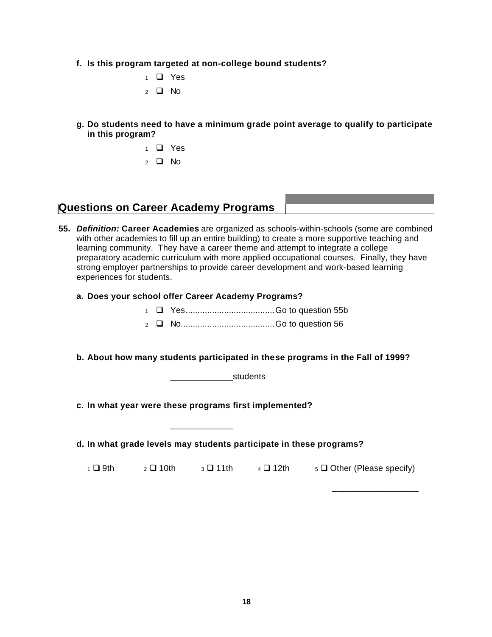- **f. Is this program targeted at non-college bound students?**
	- $1$   $\Box$  Yes
	- $2 \Box$  No
- **g. Do students need to have a minimum grade point average to qualify to participate in this program?**
	- $1$   $\Box$  Yes
	- $2 \Box$  No

# **Questions on Career Academy Programs**

- **55.** *Definition:* **Career Academies** are organized as schools-within-schools (some are combined with other academies to fill up an entire building) to create a more supportive teaching and learning community. They have a career theme and attempt to integrate a college preparatory academic curriculum with more applied occupational courses. Finally, they have strong employer partnerships to provide career development and work-based learning experiences for students.
	- **a. Does your school offer Career Academy Programs?**

**b. About how many students participated in these programs in the Fall of 1999?**

extending the students

**c. In what year were these programs first implemented?**

\_\_\_\_\_\_\_\_\_\_\_\_\_

**d. In what grade levels may students participate in these programs?**

1 **Q** 9th 2 **Q** 10th 3 **Q** 11th 4 **Q** 12th 5 Q Other (Please specify)

 $\frac{1}{2}$  ,  $\frac{1}{2}$  ,  $\frac{1}{2}$  ,  $\frac{1}{2}$  ,  $\frac{1}{2}$  ,  $\frac{1}{2}$  ,  $\frac{1}{2}$  ,  $\frac{1}{2}$  ,  $\frac{1}{2}$  ,  $\frac{1}{2}$  ,  $\frac{1}{2}$  ,  $\frac{1}{2}$  ,  $\frac{1}{2}$  ,  $\frac{1}{2}$  ,  $\frac{1}{2}$  ,  $\frac{1}{2}$  ,  $\frac{1}{2}$  ,  $\frac{1}{2}$  ,  $\frac{1$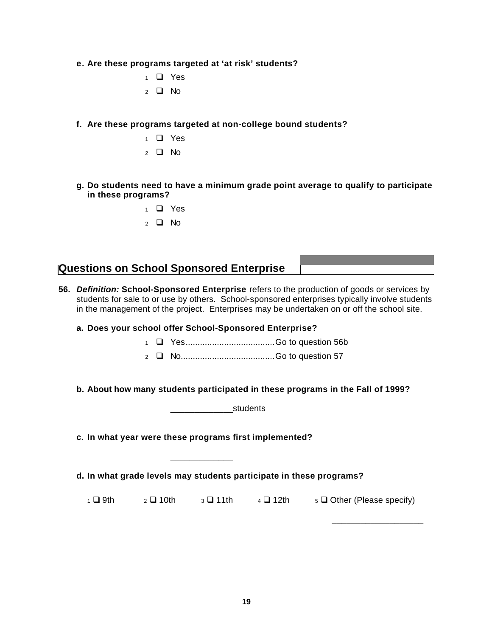- **e. Are these programs targeted at 'at risk' students?**
	- $1$   $\Box$  Yes
	- $2 \Box$  No
- **f. Are these programs targeted at non-college bound students?**
	- $1$   $\Box$  Yes
	- $2 \Box$  No
- **g. Do students need to have a minimum grade point average to qualify to participate in these programs?**
	- $1$  **Q** Yes  $2 \Box$  No

# **Questions on School Sponsored Enterprise**

- **56.** *Definition:* **School-Sponsored Enterprise** refers to the production of goods or services by students for sale to or use by others. School-sponsored enterprises typically involve students in the management of the project. Enterprises may be undertaken on or off the school site.
	- **a. Does your school offer School-Sponsored Enterprise?**
		- <sup>1</sup> q Yes.....................................Go to question 56b
		- <sup>2</sup> q No.......................................Go to question 57
	- **b. About how many students participated in these programs in the Fall of 1999?**

\_\_\_\_\_\_\_\_\_\_\_\_\_students

**c. In what year were these programs first implemented?**

\_\_\_\_\_\_\_\_\_\_\_\_\_

**d. In what grade levels may students participate in these programs?**

 $1 \square$  9th  $2 \square$  10th  $3 \square$  11th  $4 \square$  12th  $5 \square$  Other (Please specify)

 $\overline{\phantom{a}}$  ,  $\overline{\phantom{a}}$  ,  $\overline{\phantom{a}}$  ,  $\overline{\phantom{a}}$  ,  $\overline{\phantom{a}}$  ,  $\overline{\phantom{a}}$  ,  $\overline{\phantom{a}}$  ,  $\overline{\phantom{a}}$  ,  $\overline{\phantom{a}}$  ,  $\overline{\phantom{a}}$  ,  $\overline{\phantom{a}}$  ,  $\overline{\phantom{a}}$  ,  $\overline{\phantom{a}}$  ,  $\overline{\phantom{a}}$  ,  $\overline{\phantom{a}}$  ,  $\overline{\phantom{a}}$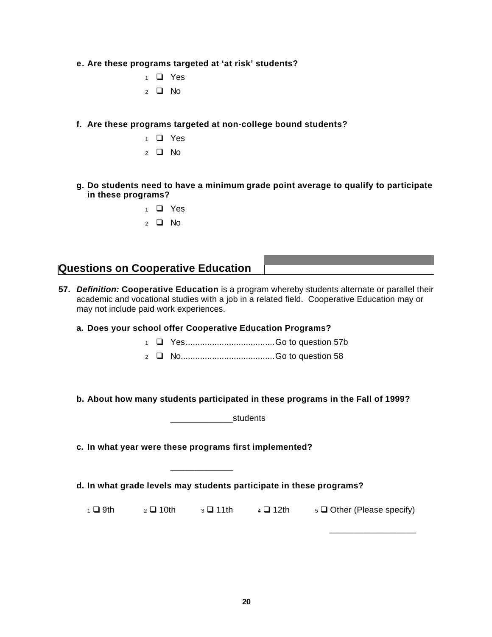- **e. Are these programs targeted at 'at risk' students?**
	- $1$   $\Box$  Yes
	- $2 \Box$  No
- **f. Are these programs targeted at non-college bound students?**
	- $1$   $\Box$  Yes
	- $2 \Box$  No
- **g. Do students need to have a minimum grade point average to qualify to participate in these programs?**
	- $1$  **Q** Yes  $2 \Box$  No

# **Questions on Cooperative Education**

- **57.** *Definition:* **Cooperative Education** is a program whereby students alternate or parallel their academic and vocational studies with a job in a related field. Cooperative Education may or may not include paid work experiences.
	- **a. Does your school offer Cooperative Education Programs?**
		- <sup>1</sup> q Yes.....................................Go to question 57b
		- <sup>2</sup> q No.......................................Go to question 58
	- **b. About how many students participated in these programs in the Fall of 1999?**

|  | students |
|--|----------|
|--|----------|

**c. In what year were these programs first implemented?**

\_\_\_\_\_\_\_\_\_\_\_\_\_

**d. In what grade levels may students participate in these programs?**

 $1 \cup 9$ th  $2 \cup 10$ th  $3 \cup 11$ th  $4 \cup 12$ th  $5 \cup 0$ ther (Please specify)

\_\_\_\_\_\_\_\_\_\_\_\_\_\_\_\_\_\_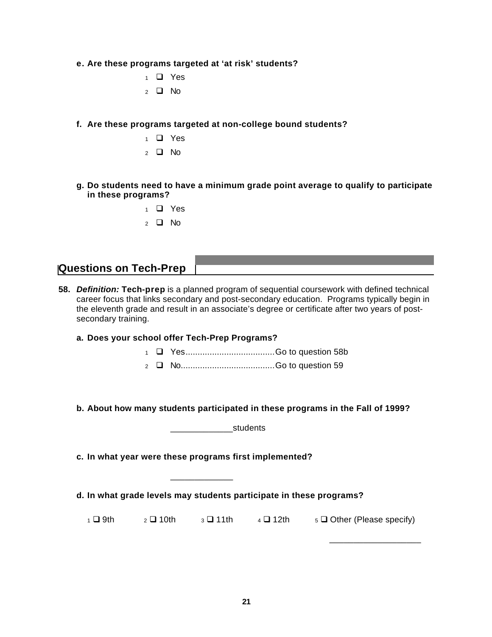- **e. Are these programs targeted at 'at risk' students?**
	- $1$   $\Box$  Yes
	- $2 \Box$  No
- **f. Are these programs targeted at non-college bound students?**
	- $1$   $\Box$  Yes
	- $2 \Box$  No
- **g. Do students need to have a minimum grade point average to qualify to participate in these programs?**
	- $1$  **Q** Yes  $2 \Box$  No

# **Questions on Tech-Prep**

**58.** *Definition:* **Tech-prep** is a planned program of sequential coursework with defined technical career focus that links secondary and post-secondary education. Programs typically begin in the eleventh grade and result in an associate's degree or certificate after two years of postsecondary training.

**a. Does your school offer Tech-Prep Programs?**

- <sup>1</sup> q Yes.....................................Go to question 58b
- <sup>2</sup> q No.......................................Go to question 59
- **b. About how many students participated in these programs in the Fall of 1999?**

|  | students |  |  |
|--|----------|--|--|
|--|----------|--|--|

**c. In what year were these programs first implemented?**

\_\_\_\_\_\_\_\_\_\_\_\_\_

**d. In what grade levels may students participate in these programs?**

 $1 \cup 9$ th  $2 \cup 10$ th  $3 \cup 11$ th  $4 \cup 12$ th  $5 \cup 0$ ther (Please specify)

\_\_\_\_\_\_\_\_\_\_\_\_\_\_\_\_\_\_\_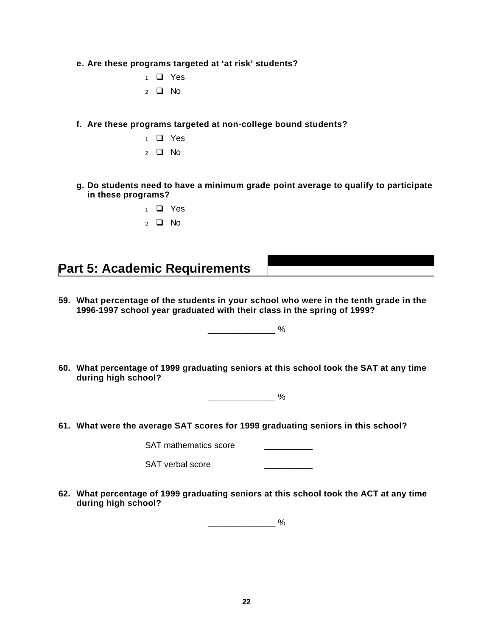- **e. Are these programs targeted at 'at risk' students?**
	- $1$   $\Box$  Yes
	- $2 \Box$  No
- **f. Are these programs targeted at non-college bound students?**
	- $1$   $\Box$  Yes
	- $2 \Box$  No
- **g. Do students need to have a minimum grade point average to qualify to participate in these programs?**
	- $1$  **Q** Yes  $2$   $\Box$  No

# **Part 5: Academic Requirements**

**59. What percentage of the students in your school who were in the tenth grade in the 1996-1997 school year graduated with their class in the spring of 1999?**



**60. What percentage of 1999 graduating seniors at this school took the SAT at any time during high school?**

 $\frac{9}{6}$ 

**61. What were the average SAT scores for 1999 graduating seniors in this school?**

SAT mathematics score

SAT verbal score

**62. What percentage of 1999 graduating seniors at this school took the ACT at any time during high school?**

 $\%$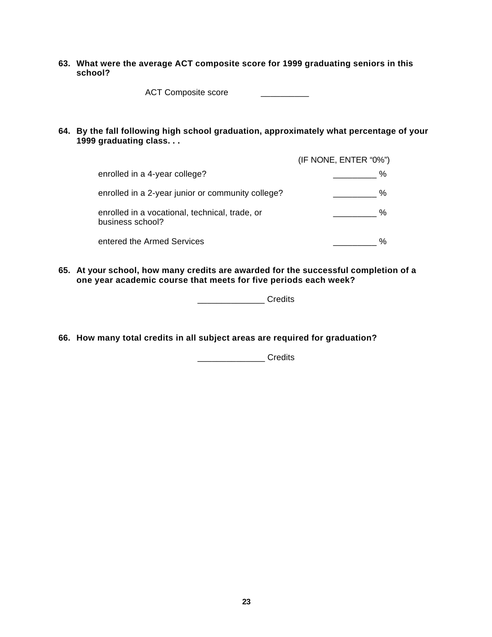**63. What were the average ACT composite score for 1999 graduating seniors in this school?**

ACT Composite score \_\_\_\_\_\_\_\_\_\_\_\_

**64. By the fall following high school graduation, approximately what percentage of your 1999 graduating class. . .** 

|                                                                    | (IF NONE, ENTER "0%") |
|--------------------------------------------------------------------|-----------------------|
| enrolled in a 4-year college?                                      | %                     |
| enrolled in a 2-year junior or community college?                  | %                     |
| enrolled in a vocational, technical, trade, or<br>business school? |                       |
| entered the Armed Services                                         |                       |

**65. At your school, how many credits are awarded for the successful completion of a one year academic course that meets for five periods each week?**

\_\_\_\_\_\_\_\_\_\_\_\_\_\_ Credits

**66. How many total credits in all subject areas are required for graduation?**

\_\_\_\_\_\_\_\_\_\_\_\_\_\_ Credits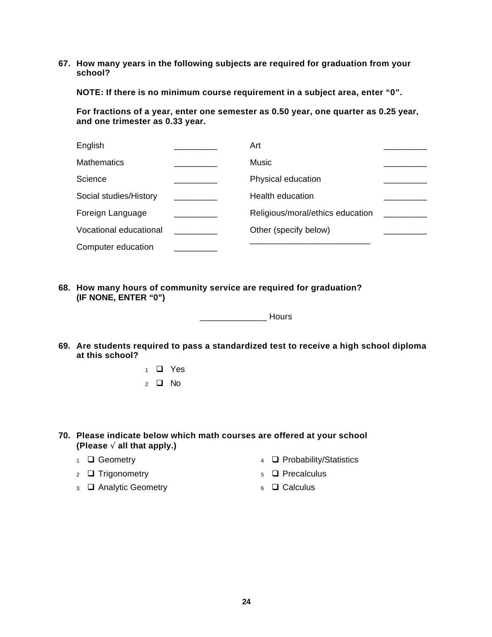**67. How many years in the following subjects are required for graduation from your school?**

**NOTE: If there is no minimum course requirement in a subject area, enter "0".**

**For fractions of a year, enter one semester as 0.50 year, one quarter as 0.25 year, and one trimester as 0.33 year.**

| English                | Art                              |  |
|------------------------|----------------------------------|--|
| <b>Mathematics</b>     | Music                            |  |
| Science                | Physical education               |  |
| Social studies/History | Health education                 |  |
| Foreign Language       | Religious/moral/ethics education |  |
| Vocational educational | Other (specify below)            |  |
| Computer education     |                                  |  |

**68. How many hours of community service are required for graduation? (IF NONE, ENTER "0")**

\_\_\_\_\_\_\_\_\_\_\_\_\_\_ Hours

- **69. Are students required to pass a standardized test to receive a high school diploma at this school?**
	- $1$   $\Box$  Yes  $2 \Box$  No
- **70. Please indicate below which math courses are offered at your school (Please Ö all that apply.)**
	-
	- 2  $\Box$  Trigonometry  $\Box$  Precalculus
	- 3 **Q** Analytic Geometry 6 Q Calculus
	- 1 **Q** Geometry **4 Q Probability/Statistics** 
		-
		-